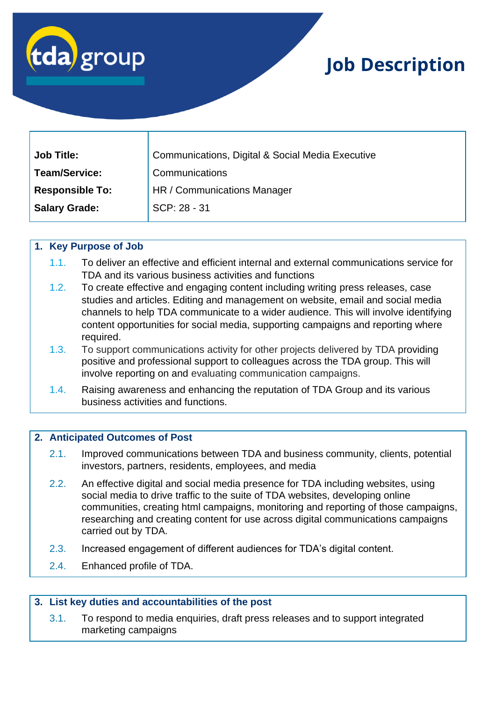

# **Job Description**

| <b>Job Title:</b>      | Communications, Digital & Social Media Executive |
|------------------------|--------------------------------------------------|
| <b>Team/Service:</b>   | Communications                                   |
| <b>Responsible To:</b> | HR / Communications Manager                      |
| <b>Salary Grade:</b>   | SCP: 28 - 31                                     |

## **1. Key Purpose of Job**

- 1.1. To deliver an effective and efficient internal and external communications service for TDA and its various business activities and functions
- 1.2. To create effective and engaging content including writing press releases, case studies and articles. Editing and management on website, email and social media channels to help TDA communicate to a wider audience. This will involve identifying content opportunities for social media, supporting campaigns and reporting where required.
- 1.3. To support communications activity for other projects delivered by TDA providing positive and professional support to colleagues across the TDA group. This will involve reporting on and evaluating communication campaigns.
- 1.4. Raising awareness and enhancing the reputation of TDA Group and its various business activities and functions.

#### **2. Anticipated Outcomes of Post**

- 2.1. Improved communications between TDA and business community, clients, potential investors, partners, residents, employees, and media
- 2.2. An effective digital and social media presence for TDA including websites, using social media to drive traffic to the suite of TDA websites, developing online communities, creating html campaigns, monitoring and reporting of those campaigns, researching and creating content for use across digital communications campaigns carried out by TDA.
- 2.3. Increased engagement of different audiences for TDA's digital content.
- 2.4. Enhanced profile of TDA.

#### **3. List key duties and accountabilities of the post**

3.1. To respond to media enquiries, draft press releases and to support integrated marketing campaigns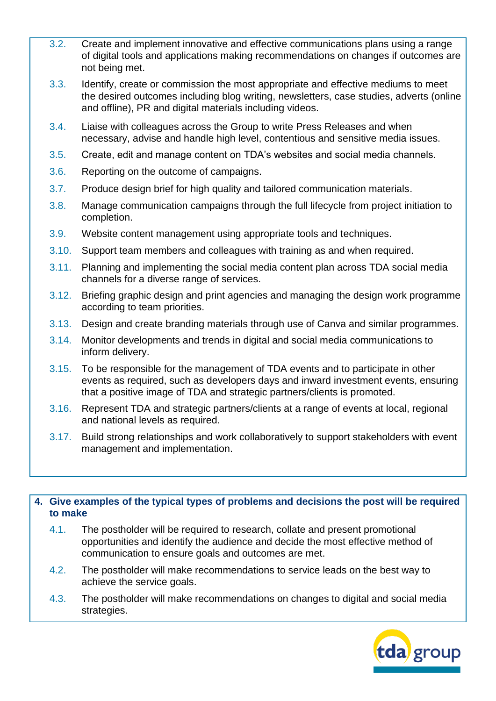- 3.2. Create and implement innovative and effective communications plans using a range of digital tools and applications making recommendations on changes if outcomes are not being met.
- 3.3. Identify, create or commission the most appropriate and effective mediums to meet the desired outcomes including blog writing, newsletters, case studies, adverts (online and offline), PR and digital materials including videos.
- 3.4. Liaise with colleagues across the Group to write Press Releases and when necessary, advise and handle high level, contentious and sensitive media issues.
- 3.5. Create, edit and manage content on TDA's websites and social media channels.
- 3.6. Reporting on the outcome of campaigns.
- 3.7. Produce design brief for high quality and tailored communication materials.
- 3.8. Manage communication campaigns through the full lifecycle from project initiation to completion.
- 3.9. Website content management using appropriate tools and techniques.
- 3.10. Support team members and colleagues with training as and when required.
- 3.11. Planning and implementing the social media content plan across TDA social media channels for a diverse range of services.
- 3.12. Briefing graphic design and print agencies and managing the design work programme according to team priorities.
- 3.13. Design and create branding materials through use of Canva and similar programmes.
- 3.14. Monitor developments and trends in digital and social media communications to inform delivery.
- 3.15. To be responsible for the management of TDA events and to participate in other events as required, such as developers days and inward investment events, ensuring that a positive image of TDA and strategic partners/clients is promoted.
- 3.16. Represent TDA and strategic partners/clients at a range of events at local, regional and national levels as required.
- 3.17. Build strong relationships and work collaboratively to support stakeholders with event management and implementation.

## **4. Give examples of the typical types of problems and decisions the post will be required to make**

- 4.1. The postholder will be required to research, collate and present promotional opportunities and identify the audience and decide the most effective method of communication to ensure goals and outcomes are met.
- 4.2. The postholder will make recommendations to service leads on the best way to achieve the service goals.
- 4.3. The postholder will make recommendations on changes to digital and social media strategies.

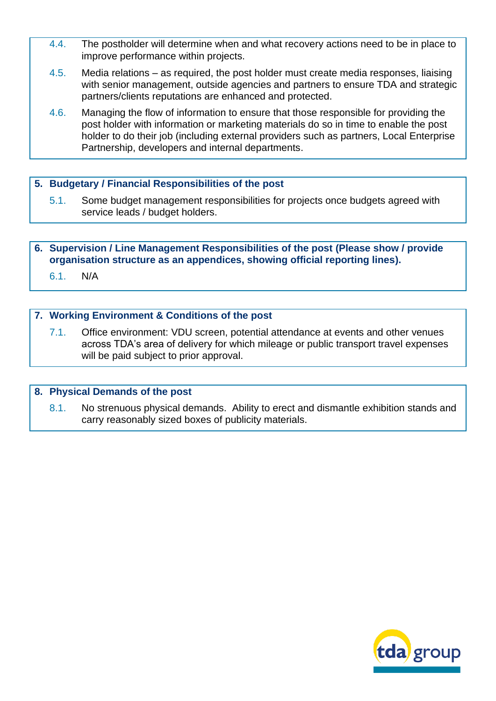- 4.4. The postholder will determine when and what recovery actions need to be in place to improve performance within projects.
- 4.5. Media relations as required, the post holder must create media responses, liaising with senior management, outside agencies and partners to ensure TDA and strategic partners/clients reputations are enhanced and protected.
- 4.6. Managing the flow of information to ensure that those responsible for providing the post holder with information or marketing materials do so in time to enable the post holder to do their job (including external providers such as partners, Local Enterprise Partnership, developers and internal departments.

## **5. Budgetary / Financial Responsibilities of the post**

5.1. Some budget management responsibilities for projects once budgets agreed with service leads / budget holders.

**6. Supervision / Line Management Responsibilities of the post (Please show / provide organisation structure as an appendices, showing official reporting lines).**

6.1. N/A

## **7. Working Environment & Conditions of the post**

7.1. Office environment: VDU screen, potential attendance at events and other venues across TDA's area of delivery for which mileage or public transport travel expenses will be paid subject to prior approval.

#### **8. Physical Demands of the post**

8.1. No strenuous physical demands. Ability to erect and dismantle exhibition stands and carry reasonably sized boxes of publicity materials.

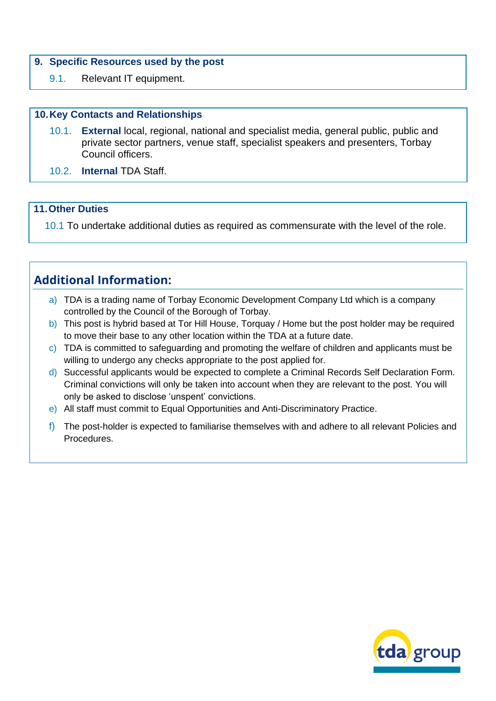#### **9. Specific Resources used by the post**

9.1. Relevant IT equipment.

## **10.Key Contacts and Relationships**

- 10.1. **External** local, regional, national and specialist media, general public, public and private sector partners, venue staff, specialist speakers and presenters, Torbay Council officers.
- 10.2. **Internal** TDA Staff.

## **11.Other Duties**

10.1 To undertake additional duties as required as commensurate with the level of the role.

## **Additional Information:**

- a) TDA is a trading name of Torbay Economic Development Company Ltd which is a company controlled by the Council of the Borough of Torbay.
- b) This post is hybrid based at Tor Hill House, Torquay / Home but the post holder may be required to move their base to any other location within the TDA at a future date.
- c) TDA is committed to safeguarding and promoting the welfare of children and applicants must be willing to undergo any checks appropriate to the post applied for.
- d) Successful applicants would be expected to complete a Criminal Records Self Declaration Form. Criminal convictions will only be taken into account when they are relevant to the post. You will only be asked to disclose 'unspent' convictions.
- e) All staff must commit to Equal Opportunities and Anti-Discriminatory Practice.
- f) The post-holder is expected to familiarise themselves with and adhere to all relevant Policies and Procedures.

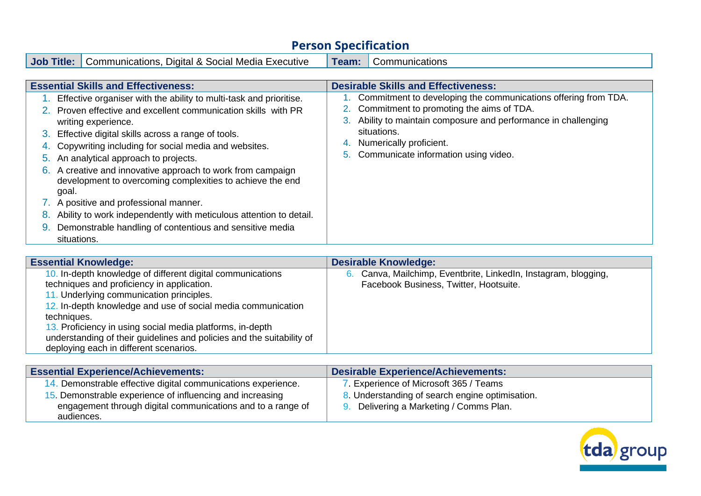# **Person Specification**

**Job Title:** Communications, Digital & Social Media Executive | Team: Communications

| <b>Essential Skills and Effectiveness:</b>                                                                                                                                                                                                                                                                                                                                                                                                                                                                                                                                                                                                                                 | <b>Desirable Skills and Effectiveness:</b>                                                                                                                                                                                                                                           |
|----------------------------------------------------------------------------------------------------------------------------------------------------------------------------------------------------------------------------------------------------------------------------------------------------------------------------------------------------------------------------------------------------------------------------------------------------------------------------------------------------------------------------------------------------------------------------------------------------------------------------------------------------------------------------|--------------------------------------------------------------------------------------------------------------------------------------------------------------------------------------------------------------------------------------------------------------------------------------|
| Effective organiser with the ability to multi-task and prioritise.<br>2. Proven effective and excellent communication skills with PR<br>writing experience.<br>3. Effective digital skills across a range of tools.<br>Copywriting including for social media and websites.<br>4.<br>5. An analytical approach to projects.<br>A creative and innovative approach to work from campaign<br>6.<br>development to overcoming complexities to achieve the end<br>goal.<br>7. A positive and professional manner.<br>Ability to work independently with meticulous attention to detail.<br>8.<br>Demonstrable handling of contentious and sensitive media<br>9.<br>situations. | 1. Commitment to developing the communications offering from TDA.<br>2. Commitment to promoting the aims of TDA.<br>Ability to maintain composure and performance in challenging<br>3.<br>situations.<br>Numerically proficient.<br>4.<br>Communicate information using video.<br>5. |

| <b>Essential Knowledge:</b>                                                                                                                                                                                                                                                                                                                                               | <b>Desirable Knowledge:</b>                                                                                  |
|---------------------------------------------------------------------------------------------------------------------------------------------------------------------------------------------------------------------------------------------------------------------------------------------------------------------------------------------------------------------------|--------------------------------------------------------------------------------------------------------------|
| 10. In-depth knowledge of different digital communications<br>techniques and proficiency in application.<br>11. Underlying communication principles.<br>12. In-depth knowledge and use of social media communication<br>techniques.<br>13. Proficiency in using social media platforms, in-depth<br>understanding of their guidelines and policies and the suitability of | Canva, Mailchimp, Eventbrite, LinkedIn, Instagram, blogging,<br>6.<br>Facebook Business, Twitter, Hootsuite. |
| deploying each in different scenarios.                                                                                                                                                                                                                                                                                                                                    |                                                                                                              |

| <b>Essential Experience/Achievements:</b>                                                                                              | <b>Desirable Experience/Achievements:</b>                                                  |
|----------------------------------------------------------------------------------------------------------------------------------------|--------------------------------------------------------------------------------------------|
| 14. Demonstrable effective digital communications experience.                                                                          | 7. Experience of Microsoft 365 / Teams                                                     |
| 15. Demonstrable experience of influencing and increasing<br>engagement through digital communications and to a range of<br>audiences. | 8. Understanding of search engine optimisation.<br>9. Delivering a Marketing / Comms Plan. |